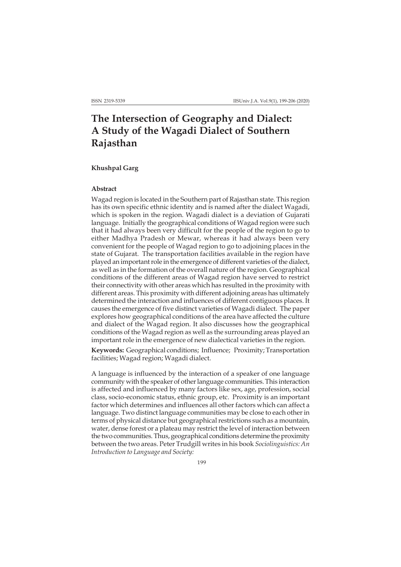# **The Intersection of Geography and Dialect: A Study of the Wagadi Dialect of Southern Rajasthan**

## **Khushpal Garg**

#### **Abstract**

Wagad region is located in the Southern part of Rajasthan state. This region has its own specific ethnic identity and is named after the dialect Wagadi, which is spoken in the region. Wagadi dialect is a deviation of Gujarati language. Initially the geographical conditions of Wagad region were such that it had always been very difficult for the people of the region to go to either Madhya Pradesh or Mewar, whereas it had always been very convenient for the people of Wagad region to go to adjoining places in the state of Gujarat. The transportation facilities available in the region have played an important role in the emergence of different varieties of the dialect, as well as in the formation of the overall nature of the region. Geographical conditions of the different areas of Wagad region have served to restrict their connectivity with other areas which has resulted in the proximity with different areas. This proximity with different adjoining areas has ultimately determined the interaction and influences of different contiguous places. It causes the emergence of five distinct varieties of Wagadi dialect. The paper explores how geographical conditions of the area have affected the culture and dialect of the Wagad region. It also discusses how the geographical conditions of the Wagad region as well as the surrounding areas played an important role in the emergence of new dialectical varieties in the region.

**Keywords:** Geographical conditions; Influence; Proximity; Transportation facilities; Wagad region; Wagadi dialect.

A language is influenced by the interaction of a speaker of one language community with the speaker of other language communities. This interaction is affected and influenced by many factors like sex, age, profession, social class, socio-economic status, ethnic group, etc. Proximity is an important factor which determines and influences all other factors which can affect a language. Two distinct language communities may be close to each other in terms of physical distance but geographical restrictions such as a mountain, water, dense forest or a plateau may restrict the level of interaction between the two communities. Thus, geographical conditions determine the proximity between the two areas. Peter Trudgill writes in his book *Sociolinguistics: An Introduction to Language and Society:*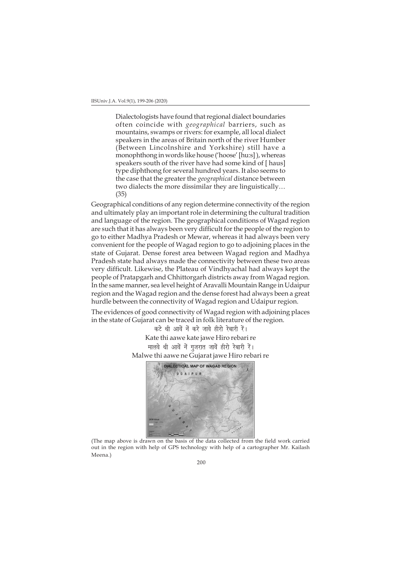Dialectologists have found that regional dialect boundaries often coincide with *geographical* barriers, such as mountains, swamps or rivers: for example, all local dialect speakers in the areas of Britain north of the river Humber (Between Lincolnshire and Yorkshire) still have a monophthong in words like house ('hoose' [hu:s] ), whereas speakers south of the river have had some kind of [ haus] type diphthong for several hundred years. It also seems to the case that the greater the *geographical* distance between two dialects the more dissimilar they are linguistically… (35)

Geographical conditions of any region determine connectivity of the region and ultimately play an important role in determining the cultural tradition and language of the region. The geographical conditions of Wagad region are such that it has always been very difficult for the people of the region to go to either Madhya Pradesh or Mewar, whereas it had always been very convenient for the people of Wagad region to go to adjoining places in the state of Gujarat. Dense forest area between Wagad region and Madhya Pradesh state had always made the connectivity between these two areas very difficult. Likewise, the Plateau of Vindhyachal had always kept the people of Pratapgarh and Chhittorgarh districts away from Wagad region. In the same manner, sea level height of Aravalli Mountain Range in Udaipur region and the Wagad region and the dense forest had always been a great hurdle between the connectivity of Wagad region and Udaipur region.

The evidences of good connectivity of Wagad region with adjoining places in the state of Gujarat can be traced in folk literature of the region.

> कटे थी आवें नें करे जावे हीरो रेबारी रें। Kate thi aawe kate jawe Hiro rebari re मालवे थी आवें नें गुजरात जावें हीरो रेबारी रें। Malwe thi aawe ne Gujarat jawe Hiro rebari re



(The map above is drawn on the basis of the data collected from the field work carried out in the region with help of GPS technology with help of a cartographer Mr. Kailash Meena.)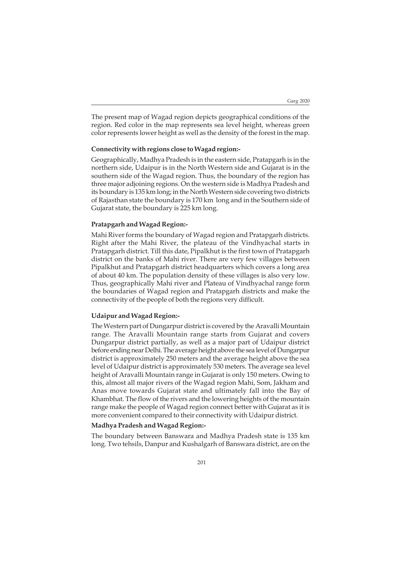The present map of Wagad region depicts geographical conditions of the region. Red color in the map represents sea level height, whereas green color represents lower height as well as the density of the forest in the map.

# **Connectivity with regions close to Wagad region:-**

Geographically, Madhya Pradesh is in the eastern side, Pratapgarh is in the northern side, Udaipur is in the North Western side and Gujarat is in the southern side of the Wagad region. Thus, the boundary of the region has three major adjoining regions. On the western side is Madhya Pradesh and its boundary is 135 km long; in the North Western side covering two districts of Rajasthan state the boundary is 170 km long and in the Southern side of Gujarat state, the boundary is 225 km long.

## **Pratapgarh and Wagad Region:-**

Mahi River forms the boundary of Wagad region and Pratapgarh districts. Right after the Mahi River, the plateau of the Vindhyachal starts in Pratapgarh district. Till this date, Pipalkhut is the first town of Pratapgarh district on the banks of Mahi river. There are very few villages between Pipalkhut and Pratapgarh district headquarters which covers a long area of about 40 km. The population density of these villages is also very low. Thus, geographically Mahi river and Plateau of Vindhyachal range form the boundaries of Wagad region and Pratapgarh districts and make the connectivity of the people of both the regions very difficult.

## **Udaipur and Wagad Region:-**

The Western part of Dungarpur district is covered by the Aravalli Mountain range. The Aravalli Mountain range starts from Gujarat and covers Dungarpur district partially, as well as a major part of Udaipur district before ending near Delhi. The average height above the sea level of Dungarpur district is approximately 250 meters and the average height above the sea level of Udaipur district is approximately 530 meters. The average sea level height of Aravalli Mountain range in Gujarat is only 150 meters. Owing to this, almost all major rivers of the Wagad region Mahi, Som, Jakham and Anas move towards Gujarat state and ultimately fall into the Bay of Khambhat. The flow of the rivers and the lowering heights of the mountain range make the people of Wagad region connect better with Gujarat as it is more convenient compared to their connectivity with Udaipur district.

#### **Madhya Pradesh and Wagad Region:-**

The boundary between Banswara and Madhya Pradesh state is 135 km long. Two tehsils, Danpur and Kushalgarh of Banswara district, are on the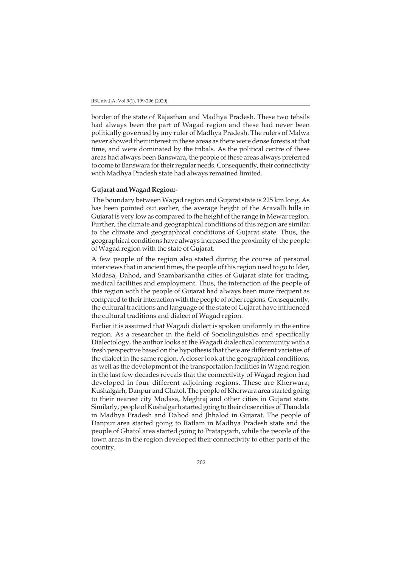border of the state of Rajasthan and Madhya Pradesh. These two tehsils had always been the part of Wagad region and these had never been politically governed by any ruler of Madhya Pradesh. The rulers of Malwa never showed their interest in these areas as there were dense forests at that time, and were dominated by the tribals. As the political centre of these areas had always been Banswara, the people of these areas always preferred to come to Banswara for their regular needs. Consequently, their connectivity with Madhya Pradesh state had always remained limited.

## **Gujarat and Wagad Region:-**

 The boundary between Wagad region and Gujarat state is 225 km long. As has been pointed out earlier, the average height of the Aravalli hills in Gujarat is very low as compared to the height of the range in Mewar region. Further, the climate and geographical conditions of this region are similar to the climate and geographical conditions of Gujarat state. Thus, the geographical conditions have always increased the proximity of the people of Wagad region with the state of Gujarat.

A few people of the region also stated during the course of personal interviews that in ancient times, the people of this region used to go to Ider, Modasa, Dahod, and Saambarkantha cities of Gujarat state for trading, medical facilities and employment. Thus, the interaction of the people of this region with the people of Gujarat had always been more frequent as compared to their interaction with the people of other regions. Consequently, the cultural traditions and language of the state of Gujarat have influenced the cultural traditions and dialect of Wagad region.

Earlier it is assumed that Wagadi dialect is spoken uniformly in the entire region. As a researcher in the field of Sociolinguistics and specifically Dialectology, the author looks at the Wagadi dialectical community with a fresh perspective based on the hypothesis that there are different varieties of the dialect in the same region. A closer look at the geographical conditions, as well as the development of the transportation facilities in Wagad region in the last few decades reveals that the connectivity of Wagad region had developed in four different adjoining regions. These are Kherwara, Kushalgarh, Danpur and Ghatol. The people of Kherwara area started going to their nearest city Modasa, Meghraj and other cities in Gujarat state. Similarly, people of Kushalgarh started going to their closer cities of Thandala in Madhya Pradesh and Dahod and Jhhalod in Gujarat. The people of Danpur area started going to Ratlam in Madhya Pradesh state and the people of Ghatol area started going to Pratapgarh, while the people of the town areas in the region developed their connectivity to other parts of the country.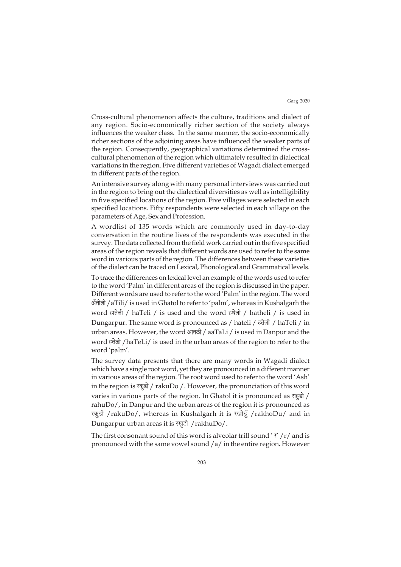Cross-cultural phenomenon affects the culture, traditions and dialect of any region. Socio-economically richer section of the society always influences the weaker class. In the same manner, the socio-economically richer sections of the adjoining areas have influenced the weaker parts of the region. Consequently, geographical variations determined the crosscultural phenomenon of the region which ultimately resulted in dialectical variations in the region. Five different varieties of Wagadi dialect emerged in different parts of the region.

An intensive survey along with many personal interviews was carried out in the region to bring out the dialectical diversities as well as intelligibility in five specified locations of the region. Five villages were selected in each specified locations. Fifty respondents were selected in each village on the parameters of Age, Sex and Profession.

A wordlist of 135 words which are commonly used in day-to-day conversation in the routine lives of the respondents was executed in the survey. The data collected from the field work carried out in the five specified areas of the region reveals that different words are used to refer to the same word in various parts of the region. The differences between these varieties of the dialect can be traced on Lexical, Phonological and Grammatical levels.

To trace the differences on lexical level an example of the words used to refer to the word 'Palm' in different areas of the region is discussed in the paper. Different words are used to refer to the word 'Palm' in the region. The word अँतीली /aTili/ is used in Ghatol to refer to 'palm', whereas in Kushalgarh the word हातेली / haTeli / is used and the word हथेली / hatheli / is used in Dungarpur. The same word is pronounced as / hateli / हतेली / haTeli / in urban areas. However, the word आतळी / aaTaLi / is used in Danpur and the word हतेली /haTeLi/ is used in the urban areas of the region to refer to the word 'palm'.

The survey data presents that there are many words in Wagadi dialect which have a single root word, yet they are pronounced in a different manner in various areas of the region. The root word used to refer to the word 'Ash' in the region is  $\overline{\text{kg}}\text{s}$  / rakuDo /. However, the pronunciation of this word varies in various parts of the region. In Ghatol it is pronounced as  $\eta \bar{\xi}$ rahuDo/, in Danpur and the urban areas of the region it is pronounced as रकुड़ो /rakuDo/, whereas in Kushalgarh it is रखोड़ूँ /rakhoDu/ and in Dungarpur urban areas it is रखुडो /rakhuDo/.

The first consonant sound of this word is alveolar trill sound ' $\tau'$  /r/ and is pronounced with the same vowel sound /a/ in the entire region**.** However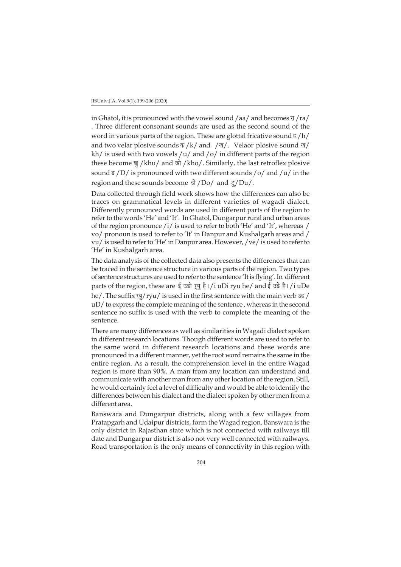in Ghatol, it is pronounced with the vowel sound /aa/ and becomes  $\frac{\pi}{4}$ /ra/ . Three different consonant sounds are used as the second sound of the word in various parts of the region. These are glottal fricative sound  $\frac{1}{6}$  /h/ and two velar plosive sounds  $\frac{1}{4}$  /k/ and / $\frac{1}{4}$ . Velaor plosive sound  $\frac{1}{4}$ / kh/ is used with two vowels /u/ and /o/ in different parts of the region these become खु/khu/ and खो/kho/. Similarly, the last retroflex plosive sound  $\frac{1}{5}$  /D/ is pronounced with two different sounds /o/ and /u/ in the region and these sounds become  $\frac{1}{\sqrt{2}}$  /Do/ and  $\frac{1}{\sqrt{2}}$ /Du/.

Data collected through field work shows how the differences can also be traces on grammatical levels in different varieties of wagadi dialect. Differently pronounced words are used in different parts of the region to refer to the words 'He' and 'It'. In Ghatol, Dungarpur rural and urban areas of the region pronounce /i/ is used to refer to both 'He' and 'It', whereas / vo/ pronoun is used to refer to 'It' in Danpur and Kushalgarh areas and / vu/ is used to refer to 'He' in Danpur area. However, /ve/ is used to refer to 'He' in Kushalgarh area.

The data analysis of the collected data also presents the differences that can be traced in the sentence structure in various parts of the region. Two types of sentence structures are used to refer to the sentence 'It is flying'. In different parts of the region, these are ई उड़ी रूयु है।/i uDi ryu he/ and ई उड़े है।/i uDe he/. The suffix  $\frac{1}{3}$  ryu/ is used in the first sentence with the main verb  $\frac{1}{3}$  / uD/ to express the complete meaning of the sentence , whereas in the second sentence no suffix is used with the verb to complete the meaning of the sentence.

There are many differences as well as similarities in Wagadi dialect spoken in different research locations. Though different words are used to refer to the same word in different research locations and these words are pronounced in a different manner, yet the root word remains the same in the entire region. As a result, the comprehension level in the entire Wagad region is more than 90%. A man from any location can understand and communicate with another man from any other location of the region. Still, he would certainly feel a level of difficulty and would be able to identify the differences between his dialect and the dialect spoken by other men from a different area.

Banswara and Dungarpur districts, along with a few villages from Pratapgarh and Udaipur districts, form the Wagad region. Banswara is the only district in Rajasthan state which is not connected with railways till date and Dungarpur district is also not very well connected with railways. Road transportation is the only means of connectivity in this region with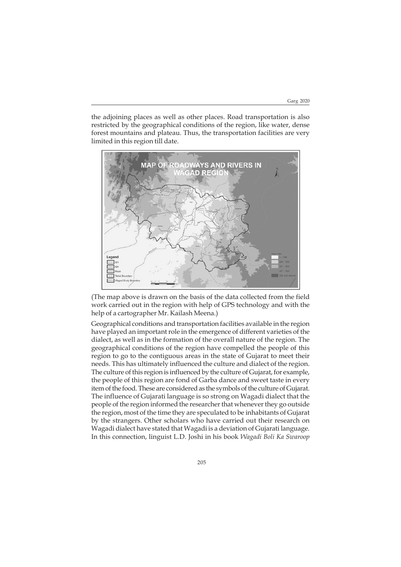the adjoining places as well as other places. Road transportation is also restricted by the geographical conditions of the region, like water, dense forest mountains and plateau. Thus, the transportation facilities are very limited in this region till date.



(The map above is drawn on the basis of the data collected from the field work carried out in the region with help of GPS technology and with the help of a cartographer Mr. Kailash Meena.)

Geographical conditions and transportation facilities available in the region have played an important role in the emergence of different varieties of the dialect, as well as in the formation of the overall nature of the region. The geographical conditions of the region have compelled the people of this region to go to the contiguous areas in the state of Gujarat to meet their needs. This has ultimately influenced the culture and dialect of the region. The culture of this region is influenced by the culture of Gujarat, for example, the people of this region are fond of Garba dance and sweet taste in every item of the food. These are considered as the symbols of the culture of Gujarat. The influence of Gujarati language is so strong on Wagadi dialect that the people of the region informed the researcher that whenever they go outside the region, most of the time they are speculated to be inhabitants of Gujarat by the strangers. Other scholars who have carried out their research on Wagadi dialect have stated that Wagadi is a deviation of Gujarati language. In this connection, linguist L.D. Joshi in his book *Wagadi Boli Ka Swaroop*